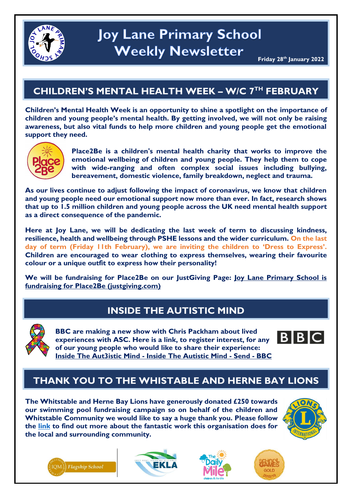

## **CHILDREN'S MENTAL HEALTH WEEK – W/C 7TH FEBRUARY**

**Children's Mental Health Week is an opportunity to shine a spotlight on the importance of children and young people's mental health. By getting involved, we will not only be raising awareness, but also vital funds to help more children and young people get the emotional support they need.**



**Place2Be is a children's mental health charity that works to improve the emotional wellbeing of children and young people. They help them to cope with wide-ranging and often complex social issues including bullying, bereavement, domestic violence, family breakdown, neglect and trauma.**

**As our lives continue to adjust following the impact of coronavirus, we know that children and young people need our emotional support now more than ever. In fact, research shows that up to 1.5 million children and young people across the UK need mental health support as a direct consequence of the pandemic.** 

**Here at Joy Lane, we will be dedicating the last week of term to discussing kindness, resilience, health and wellbeing through PSHE lessons and the wider curriculum. On the last day of term (Friday 11th February), we are inviting the children to 'Dress to Express'. Children are encouraged to wear clothing to express themselves, wearing their favourite colour or a unique outfit to express how their personality!** 

**We will be fundraising for Place2Be on our JustGiving Page: [Joy Lane Primary School is](https://www.justgiving.com/fundraising/Joy-Lane-Primary-School1?utm_campaign=lc_frp_share_transaction_fundraiser_page_launched&utm_content=f960d3b6-2392-4c21-8968-8c207f7b499b&utm_medium=email&utm_source=postoffice&utm_term=1643056125509)  [fundraising for Place2Be \(justgiving.com\)](https://www.justgiving.com/fundraising/Joy-Lane-Primary-School1?utm_campaign=lc_frp_share_transaction_fundraiser_page_launched&utm_content=f960d3b6-2392-4c21-8968-8c207f7b499b&utm_medium=email&utm_source=postoffice&utm_term=1643056125509)**

### **INSIDE THE AUTISTIC MIND**



**BBC are making a new show with Chris Packham about lived experiences with ASC. Here is a link, to register interest, for any of our young people who would like to share their experience: [Inside The Aut3istic Mind -](https://www.bbc.co.uk/send/u98539434) Inside The Autistic Mind - Send - BBC**



# **THANK YOU TO THE WHISTABLE AND HERNE BAY LIONS**

**The Whitstable and Herne Bay Lions have generously donated £250 towards our swimming pool fundraising campaign so on behalf of the children and Whitstable Community we would like to say a huge thank you. Please follow the [link](https://www.whitstablelionsclub.org.uk/index.html) to find out more about the fantastic work this organisation does for the local and surrounding community.**







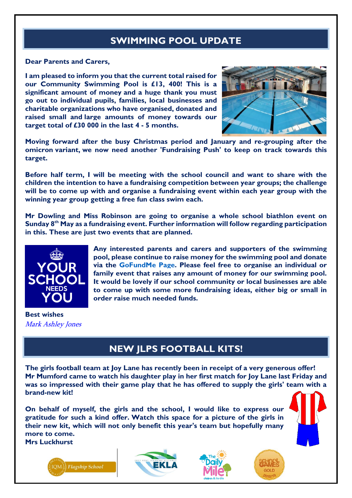# **SWIMMING POOL UPDATE**

#### **Dear Parents and Carers,**

**I am pleased to inform you that the current total raised for our Community Swimming Pool is £13, 400! This is a significant amount of money and a huge thank you must go out to individual pupils, families, local businesses and charitable organizations who have organised, donated and raised small and large amounts of money towards our target total of £30 000 in the last 4 - 5 months.**



**Moving forward after the busy Christmas period and January and re-grouping after the omicron variant, we now need another 'Fundraising Push' to keep on track towards this target.**

**Before half term, I will be meeting with the school council and want to share with the children the intention to have a fundraising competition between year groups; the challenge will be to come up with and organise a fundraising event within each year group with the winning year group getting a free fun class swim each.**

**Mr Dowling and Miss Robinson are going to organise a whole school biathlon event on Sunday 8 th May as a fundraising event. Further information will follow regarding participation in this. These are just two events that are planned.**



**Any interested parents and carers and supporters of the swimming pool, please continue to raise money for the swimming pool and donate via the [GoFundMe](https://gofund.me/9c7439bb) Page. Please feel free to organise an individual or family event that raises any amount of money for our swimming pool. It would be lovely if our school community or local businesses are able to come up with some more fundraising ideas, either big or small in order raise much needed funds.**

**Best wishes** Mark Ashley Jones

### **NEW JLPS FOOTBALL KITS!**

**The girls football team at Joy Lane has recently been in receipt of a very generous offer! Mr Mumford came to watch his daughter play in her first match for Joy Lane last Friday and was so impressed with their game play that he has offered to supply the girls' team with a brand-new kit!**

**On behalf of myself, the girls and the school, I would like to express our gratitude for such a kind offer. Watch this space for a picture of the girls in their new kit, which will not only benefit this year's team but hopefully many more to come.**

**Mrs Luckhurst**